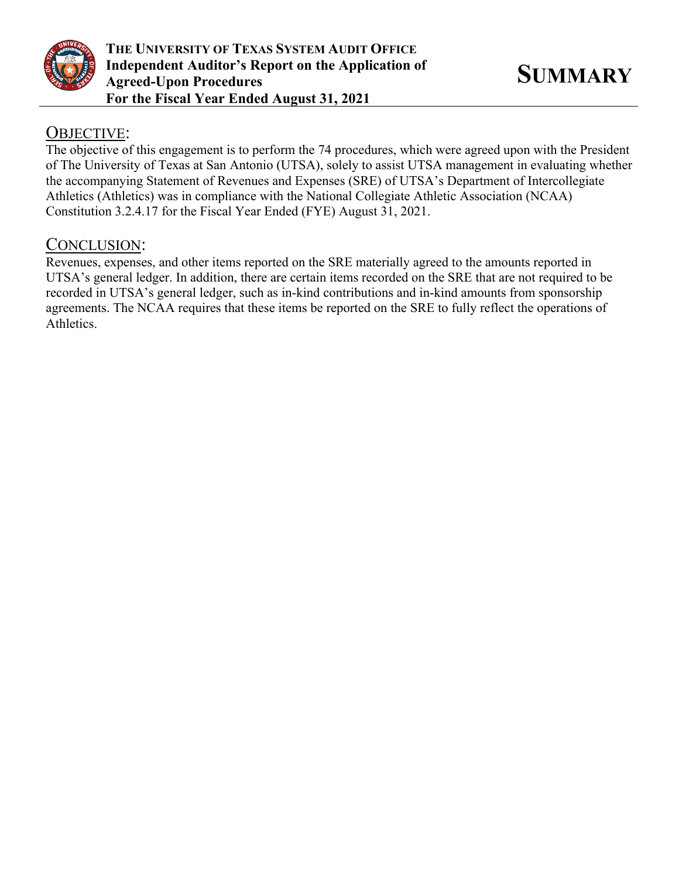

## OBJECTIVE:

The objective of this engagement is to perform the 74 procedures, which were agreed upon with the President of The University of Texas at San Antonio (UTSA), solely to assist UTSA management in evaluating whether the accompanying Statement of Revenues and Expenses (SRE) of UTSA's Department of Intercollegiate Athletics (Athletics) was in compliance with the National Collegiate Athletic Association (NCAA) Constitution 3.2.4.17 for the Fiscal Year Ended (FYE) August 31, 2021.

## CONCLUSION:

Revenues, expenses, and other items reported on the SRE materially agreed to the amounts reported in UTSA's general ledger. In addition, there are certain items recorded on the SRE that are not required to be recorded in UTSA's general ledger, such as in-kind contributions and in-kind amounts from sponsorship agreements. The NCAA requires that these items be reported on the SRE to fully reflect the operations of Athletics.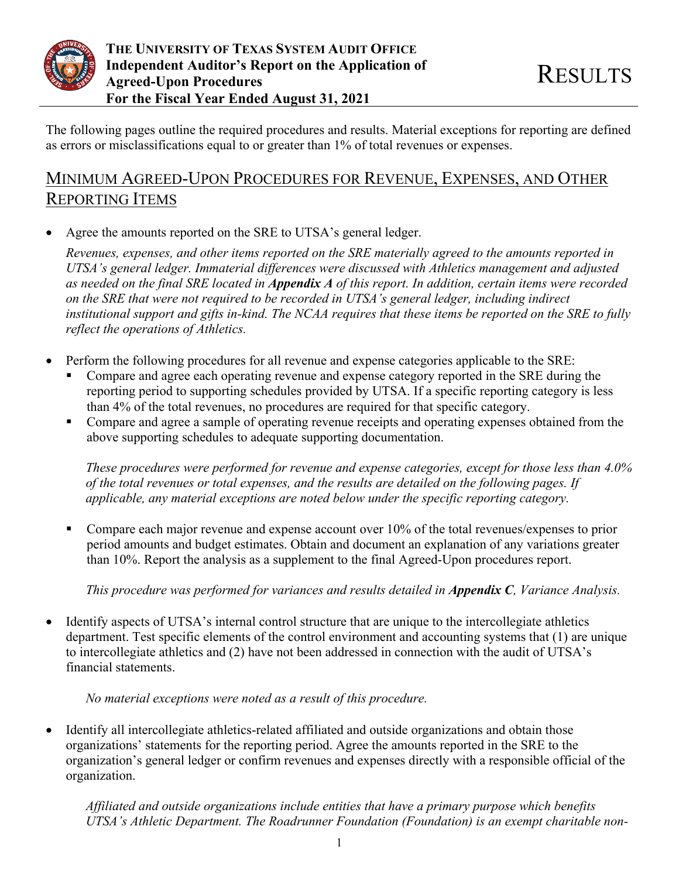

The following pages outline the required procedures and results. Material exceptions for reporting are defined as errors or misclassifications equal to or greater than 1% of total revenues or expenses.

# MINIMUM AGREED-UPON PROCEDURES FOR REVENUE, EXPENSES, AND OTHER REPORTING ITEMS

• Agree the amounts reported on the SRE to UTSA's general ledger.

*Revenues, expenses, and other items reported on the SRE materially agreed to the amounts reported in UTSA's general ledger. Immaterial differences were discussed with Athletics management and adjusted as needed on the final SRE located in Appendix A of this report. In addition, certain items were recorded on the SRE that were not required to be recorded in UTSA's general ledger, including indirect institutional support and gifts in-kind. The NCAA requires that these items be reported on the SRE to fully reflect the operations of Athletics.*

- Perform the following procedures for all revenue and expense categories applicable to the SRE:
	- Compare and agree each operating revenue and expense category reported in the SRE during the reporting period to supporting schedules provided by UTSA. If a specific reporting category is less than 4% of the total revenues, no procedures are required for that specific category.
	- **Compare and agree a sample of operating revenue receipts and operating expenses obtained from the** above supporting schedules to adequate supporting documentation.

*These procedures were performed for revenue and expense categories, except for those less than 4.0% of the total revenues or total expenses, and the results are detailed on the following pages. If applicable, any material exceptions are noted below under the specific reporting category.*

Compare each major revenue and expense account over  $10\%$  of the total revenues/expenses to prior period amounts and budget estimates. Obtain and document an explanation of any variations greater than 10%. Report the analysis as a supplement to the final Agreed-Upon procedures report.

*This procedure was performed for variances and results detailed in Appendix C, Variance Analysis.*

• Identify aspects of UTSA's internal control structure that are unique to the intercollegiate athletics department. Test specific elements of the control environment and accounting systems that (1) are unique to intercollegiate athletics and (2) have not been addressed in connection with the audit of UTSA's financial statements.

## *No material exceptions were noted as a result of this procedure.*

• Identify all intercollegiate athletics-related affiliated and outside organizations and obtain those organizations' statements for the reporting period. Agree the amounts reported in the SRE to the organization's general ledger or confirm revenues and expenses directly with a responsible official of the organization.

*Affiliated and outside organizations include entities that have a primary purpose which benefits UTSA's Athletic Department. The Roadrunner Foundation (Foundation) is an exempt charitable non-*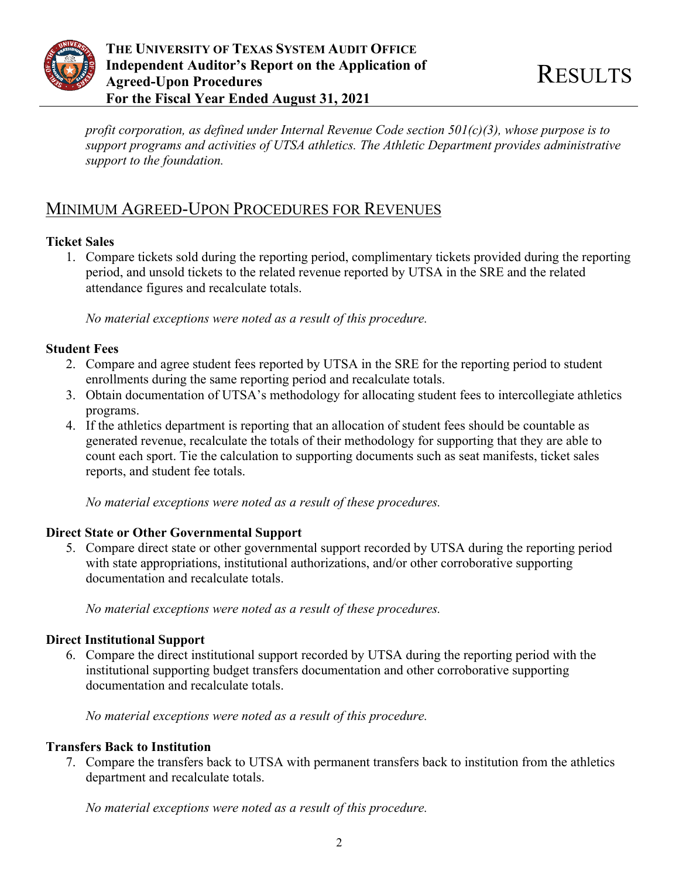

*profit corporation, as defined under Internal Revenue Code section 501(c)(3), whose purpose is to support programs and activities of UTSA athletics. The Athletic Department provides administrative support to the foundation.*

# MINIMUM AGREED-UPON PROCEDURES FOR REVENUES

#### **Ticket Sales**

1. Compare tickets sold during the reporting period, complimentary tickets provided during the reporting period, and unsold tickets to the related revenue reported by UTSA in the SRE and the related attendance figures and recalculate totals.

*No material exceptions were noted as a result of this procedure.*

#### **Student Fees**

- 2. Compare and agree student fees reported by UTSA in the SRE for the reporting period to student enrollments during the same reporting period and recalculate totals.
- 3. Obtain documentation of UTSA's methodology for allocating student fees to intercollegiate athletics programs.
- 4. If the athletics department is reporting that an allocation of student fees should be countable as generated revenue, recalculate the totals of their methodology for supporting that they are able to count each sport. Tie the calculation to supporting documents such as seat manifests, ticket sales reports, and student fee totals.

*No material exceptions were noted as a result of these procedures.*

## **Direct State or Other Governmental Support**

5. Compare direct state or other governmental support recorded by UTSA during the reporting period with state appropriations, institutional authorizations, and/or other corroborative supporting documentation and recalculate totals.

*No material exceptions were noted as a result of these procedures.*

## **Direct Institutional Support**

6. Compare the direct institutional support recorded by UTSA during the reporting period with the institutional supporting budget transfers documentation and other corroborative supporting documentation and recalculate totals.

*No material exceptions were noted as a result of this procedure.*

## **Transfers Back to Institution**

7. Compare the transfers back to UTSA with permanent transfers back to institution from the athletics department and recalculate totals.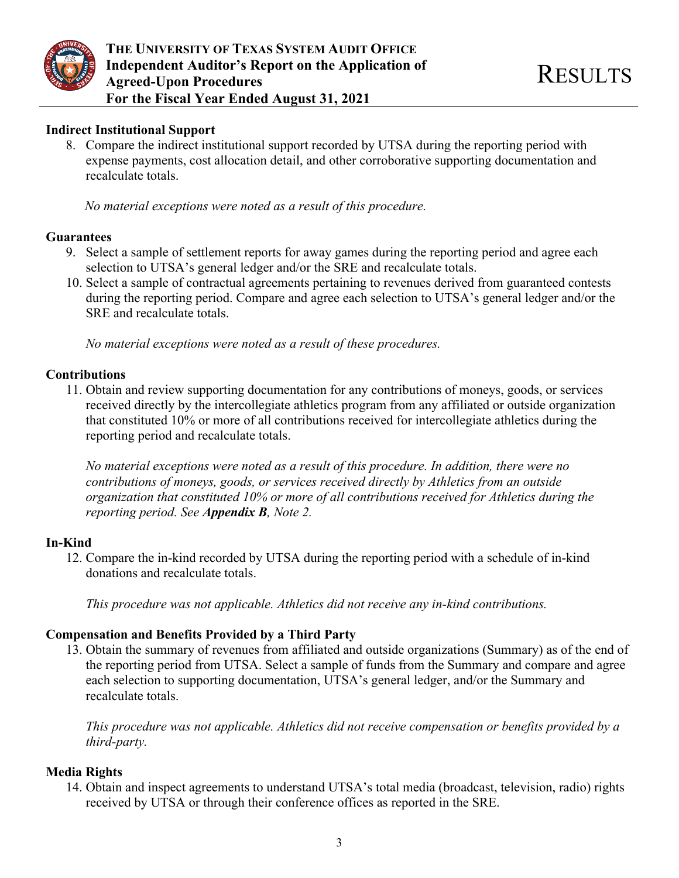

#### **Indirect Institutional Support**

8. Compare the indirect institutional support recorded by UTSA during the reporting period with expense payments, cost allocation detail, and other corroborative supporting documentation and recalculate totals.

*No material exceptions were noted as a result of this procedure.*

#### **Guarantees**

- 9. Select a sample of settlement reports for away games during the reporting period and agree each selection to UTSA's general ledger and/or the SRE and recalculate totals.
- 10. Select a sample of contractual agreements pertaining to revenues derived from guaranteed contests during the reporting period. Compare and agree each selection to UTSA's general ledger and/or the SRE and recalculate totals.

*No material exceptions were noted as a result of these procedures.*

#### **Contributions**

11. Obtain and review supporting documentation for any contributions of moneys, goods, or services received directly by the intercollegiate athletics program from any affiliated or outside organization that constituted 10% or more of all contributions received for intercollegiate athletics during the reporting period and recalculate totals.

*No material exceptions were noted as a result of this procedure. In addition, there were no contributions of moneys, goods, or services received directly by Athletics from an outside organization that constituted 10% or more of all contributions received for Athletics during the reporting period. See Appendix B, Note 2.*

## **In-Kind**

12. Compare the in-kind recorded by UTSA during the reporting period with a schedule of in-kind donations and recalculate totals.

*This procedure was not applicable. Athletics did not receive any in-kind contributions.*

## **Compensation and Benefits Provided by a Third Party**

13. Obtain the summary of revenues from affiliated and outside organizations (Summary) as of the end of the reporting period from UTSA. Select a sample of funds from the Summary and compare and agree each selection to supporting documentation, UTSA's general ledger, and/or the Summary and recalculate totals.

*This procedure was not applicable. Athletics did not receive compensation or benefits provided by a third-party.*

## **Media Rights**

14. Obtain and inspect agreements to understand UTSA's total media (broadcast, television, radio) rights received by UTSA or through their conference offices as reported in the SRE.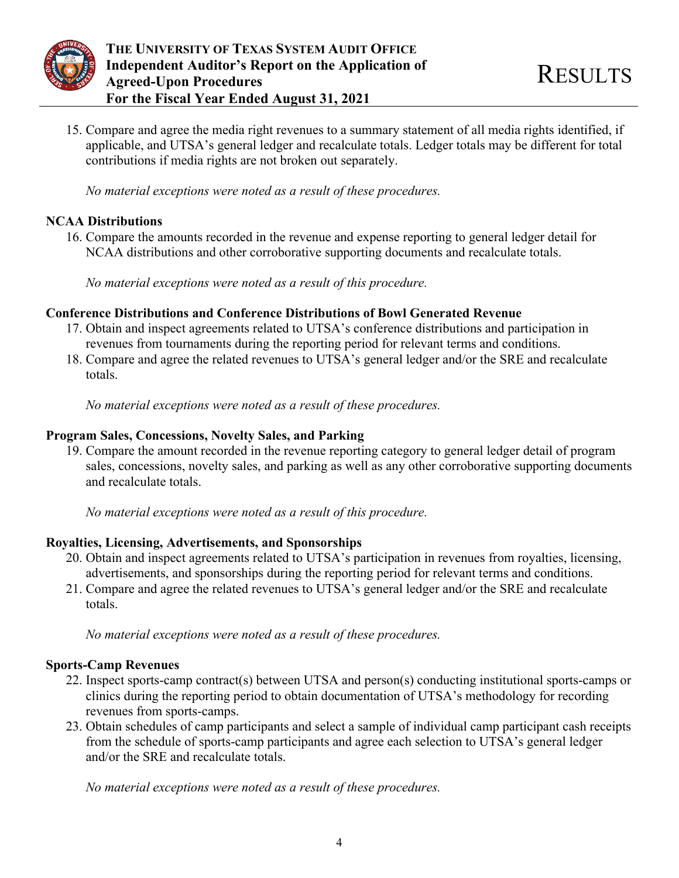

15. Compare and agree the media right revenues to a summary statement of all media rights identified, if applicable, and UTSA's general ledger and recalculate totals. Ledger totals may be different for total contributions if media rights are not broken out separately.

*No material exceptions were noted as a result of these procedures.*

#### **NCAA Distributions**

16. Compare the amounts recorded in the revenue and expense reporting to general ledger detail for NCAA distributions and other corroborative supporting documents and recalculate totals.

*No material exceptions were noted as a result of this procedure.*

## **Conference Distributions and Conference Distributions of Bowl Generated Revenue**

- 17. Obtain and inspect agreements related to UTSA's conference distributions and participation in revenues from tournaments during the reporting period for relevant terms and conditions.
- 18. Compare and agree the related revenues to UTSA's general ledger and/or the SRE and recalculate totals.

*No material exceptions were noted as a result of these procedures.* 

## **Program Sales, Concessions, Novelty Sales, and Parking**

19. Compare the amount recorded in the revenue reporting category to general ledger detail of program sales, concessions, novelty sales, and parking as well as any other corroborative supporting documents and recalculate totals.

*No material exceptions were noted as a result of this procedure.*

## **Royalties, Licensing, Advertisements, and Sponsorships**

- 20. Obtain and inspect agreements related to UTSA's participation in revenues from royalties, licensing, advertisements, and sponsorships during the reporting period for relevant terms and conditions.
- 21. Compare and agree the related revenues to UTSA's general ledger and/or the SRE and recalculate totals.

*No material exceptions were noted as a result of these procedures.* 

## **Sports-Camp Revenues**

- 22. Inspect sports-camp contract(s) between UTSA and person(s) conducting institutional sports-camps or clinics during the reporting period to obtain documentation of UTSA's methodology for recording revenues from sports-camps.
- 23. Obtain schedules of camp participants and select a sample of individual camp participant cash receipts from the schedule of sports-camp participants and agree each selection to UTSA's general ledger and/or the SRE and recalculate totals.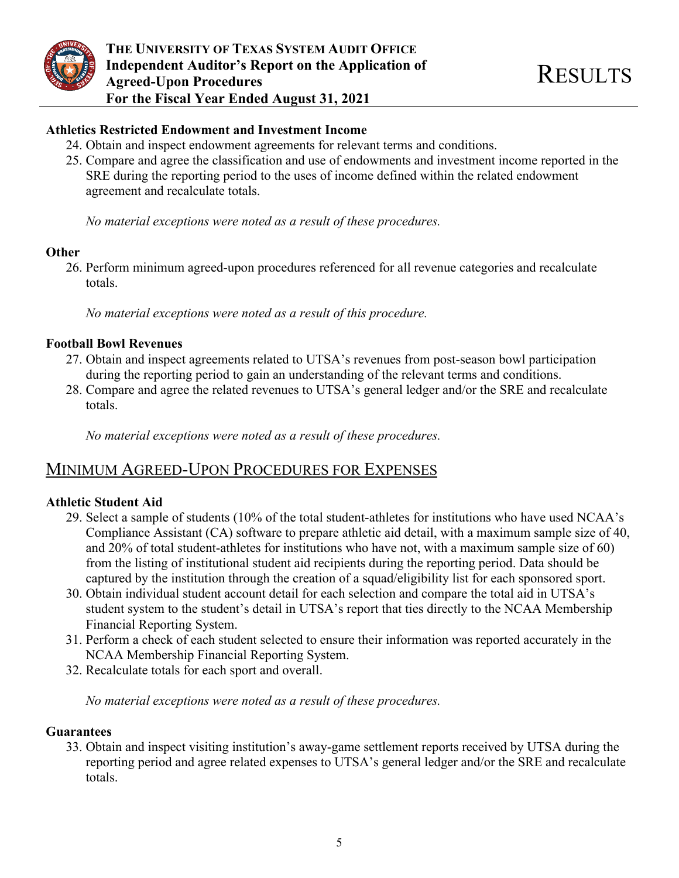

#### **Athletics Restricted Endowment and Investment Income**

- 24. Obtain and inspect endowment agreements for relevant terms and conditions.
- 25. Compare and agree the classification and use of endowments and investment income reported in the SRE during the reporting period to the uses of income defined within the related endowment agreement and recalculate totals.

*No material exceptions were noted as a result of these procedures.* 

#### **Other**

26. Perform minimum agreed-upon procedures referenced for all revenue categories and recalculate totals.

*No material exceptions were noted as a result of this procedure.*

#### **Football Bowl Revenues**

- 27. Obtain and inspect agreements related to UTSA's revenues from post-season bowl participation during the reporting period to gain an understanding of the relevant terms and conditions.
- 28. Compare and agree the related revenues to UTSA's general ledger and/or the SRE and recalculate totals.

*No material exceptions were noted as a result of these procedures.*

## MINIMUM AGREED-UPON PROCEDURES FOR EXPENSES

## **Athletic Student Aid**

- 29. Select a sample of students (10% of the total student-athletes for institutions who have used NCAA's Compliance Assistant (CA) software to prepare athletic aid detail, with a maximum sample size of 40, and 20% of total student-athletes for institutions who have not, with a maximum sample size of 60) from the listing of institutional student aid recipients during the reporting period. Data should be captured by the institution through the creation of a squad/eligibility list for each sponsored sport.
- 30. Obtain individual student account detail for each selection and compare the total aid in UTSA's student system to the student's detail in UTSA's report that ties directly to the NCAA Membership Financial Reporting System.
- 31. Perform a check of each student selected to ensure their information was reported accurately in the NCAA Membership Financial Reporting System.
- 32. Recalculate totals for each sport and overall.

*No material exceptions were noted as a result of these procedures.* 

#### **Guarantees**

33. Obtain and inspect visiting institution's away-game settlement reports received by UTSA during the reporting period and agree related expenses to UTSA's general ledger and/or the SRE and recalculate totals.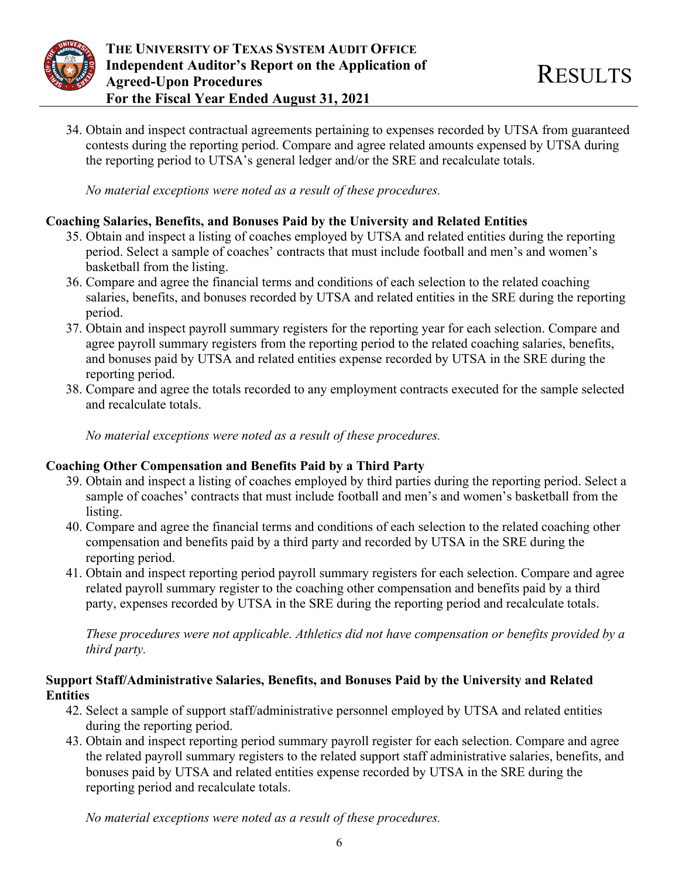

34. Obtain and inspect contractual agreements pertaining to expenses recorded by UTSA from guaranteed contests during the reporting period. Compare and agree related amounts expensed by UTSA during the reporting period to UTSA's general ledger and/or the SRE and recalculate totals.

*No material exceptions were noted as a result of these procedures.*

## **Coaching Salaries, Benefits, and Bonuses Paid by the University and Related Entities**

- 35. Obtain and inspect a listing of coaches employed by UTSA and related entities during the reporting period. Select a sample of coaches' contracts that must include football and men's and women's basketball from the listing.
- 36. Compare and agree the financial terms and conditions of each selection to the related coaching salaries, benefits, and bonuses recorded by UTSA and related entities in the SRE during the reporting period.
- 37. Obtain and inspect payroll summary registers for the reporting year for each selection. Compare and agree payroll summary registers from the reporting period to the related coaching salaries, benefits, and bonuses paid by UTSA and related entities expense recorded by UTSA in the SRE during the reporting period.
- 38. Compare and agree the totals recorded to any employment contracts executed for the sample selected and recalculate totals.

*No material exceptions were noted as a result of these procedures.*

## **Coaching Other Compensation and Benefits Paid by a Third Party**

- 39. Obtain and inspect a listing of coaches employed by third parties during the reporting period. Select a sample of coaches' contracts that must include football and men's and women's basketball from the listing.
- 40. Compare and agree the financial terms and conditions of each selection to the related coaching other compensation and benefits paid by a third party and recorded by UTSA in the SRE during the reporting period.
- 41. Obtain and inspect reporting period payroll summary registers for each selection. Compare and agree related payroll summary register to the coaching other compensation and benefits paid by a third party, expenses recorded by UTSA in the SRE during the reporting period and recalculate totals.

*These procedures were not applicable. Athletics did not have compensation or benefits provided by a third party.*

## **Support Staff/Administrative Salaries, Benefits, and Bonuses Paid by the University and Related Entities**

- 42. Select a sample of support staff/administrative personnel employed by UTSA and related entities during the reporting period.
- 43. Obtain and inspect reporting period summary payroll register for each selection. Compare and agree the related payroll summary registers to the related support staff administrative salaries, benefits, and bonuses paid by UTSA and related entities expense recorded by UTSA in the SRE during the reporting period and recalculate totals.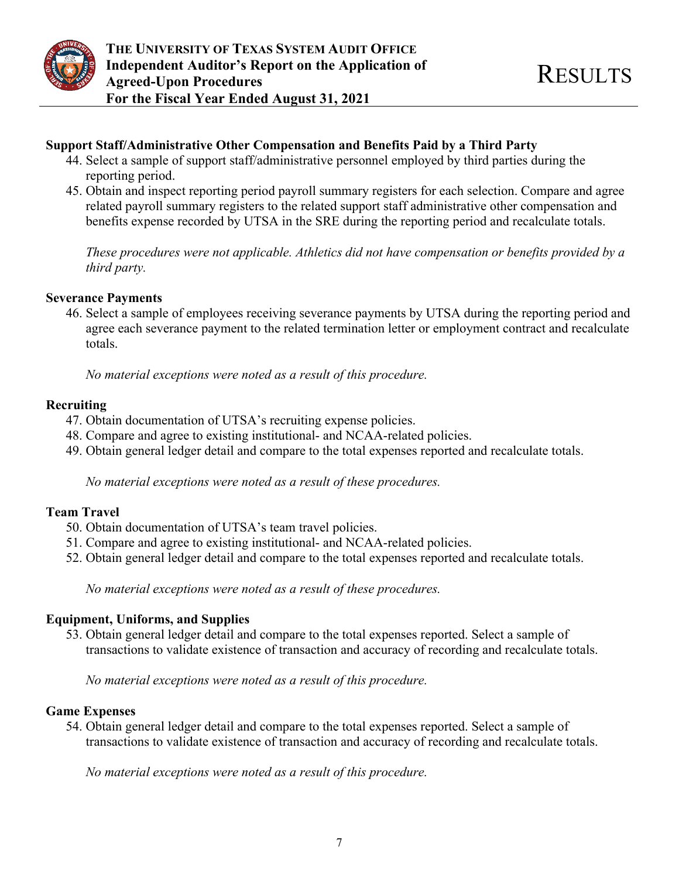

#### **Support Staff/Administrative Other Compensation and Benefits Paid by a Third Party**

- 44. Select a sample of support staff/administrative personnel employed by third parties during the reporting period.
- 45. Obtain and inspect reporting period payroll summary registers for each selection. Compare and agree related payroll summary registers to the related support staff administrative other compensation and benefits expense recorded by UTSA in the SRE during the reporting period and recalculate totals.

*These procedures were not applicable. Athletics did not have compensation or benefits provided by a third party.*

#### **Severance Payments**

46. Select a sample of employees receiving severance payments by UTSA during the reporting period and agree each severance payment to the related termination letter or employment contract and recalculate totals.

*No material exceptions were noted as a result of this procedure.*

#### **Recruiting**

- 47. Obtain documentation of UTSA's recruiting expense policies.
- 48. Compare and agree to existing institutional- and NCAA-related policies.
- 49. Obtain general ledger detail and compare to the total expenses reported and recalculate totals.

*No material exceptions were noted as a result of these procedures.*

## **Team Travel**

- 50. Obtain documentation of UTSA's team travel policies.
- 51. Compare and agree to existing institutional- and NCAA-related policies.
- 52. Obtain general ledger detail and compare to the total expenses reported and recalculate totals.

*No material exceptions were noted as a result of these procedures.*

#### **Equipment, Uniforms, and Supplies**

53. Obtain general ledger detail and compare to the total expenses reported. Select a sample of transactions to validate existence of transaction and accuracy of recording and recalculate totals.

*No material exceptions were noted as a result of this procedure.*

#### **Game Expenses**

54. Obtain general ledger detail and compare to the total expenses reported. Select a sample of transactions to validate existence of transaction and accuracy of recording and recalculate totals.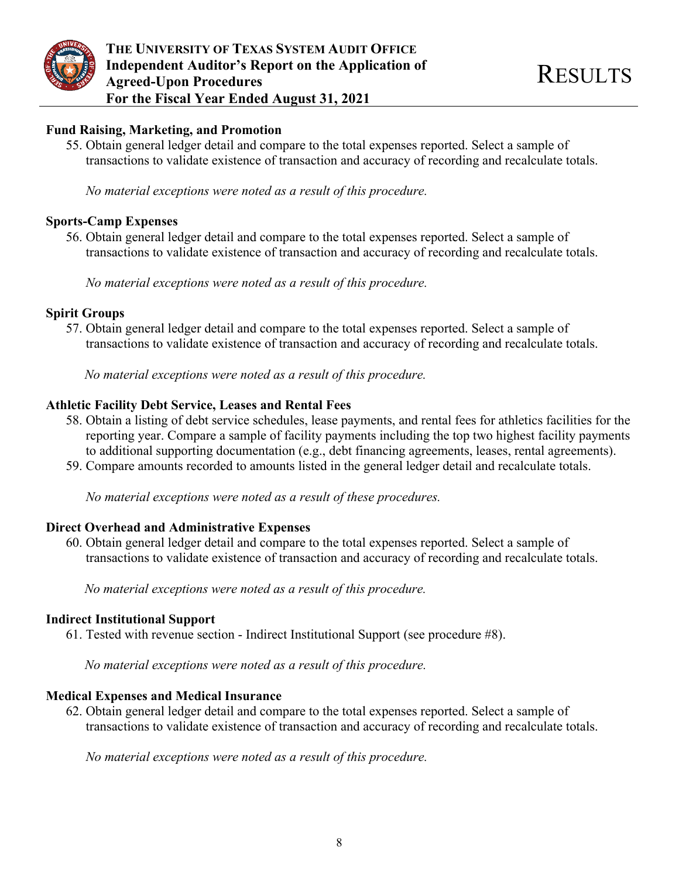

#### **Fund Raising, Marketing, and Promotion**

55. Obtain general ledger detail and compare to the total expenses reported. Select a sample of transactions to validate existence of transaction and accuracy of recording and recalculate totals.

*No material exceptions were noted as a result of this procedure.*

#### **Sports-Camp Expenses**

56. Obtain general ledger detail and compare to the total expenses reported. Select a sample of transactions to validate existence of transaction and accuracy of recording and recalculate totals.

*No material exceptions were noted as a result of this procedure.*

#### **Spirit Groups**

57. Obtain general ledger detail and compare to the total expenses reported. Select a sample of transactions to validate existence of transaction and accuracy of recording and recalculate totals.

*No material exceptions were noted as a result of this procedure.*

## **Athletic Facility Debt Service, Leases and Rental Fees**

- 58. Obtain a listing of debt service schedules, lease payments, and rental fees for athletics facilities for the reporting year. Compare a sample of facility payments including the top two highest facility payments to additional supporting documentation (e.g., debt financing agreements, leases, rental agreements).
- 59. Compare amounts recorded to amounts listed in the general ledger detail and recalculate totals.

*No material exceptions were noted as a result of these procedures.*

## **Direct Overhead and Administrative Expenses**

60. Obtain general ledger detail and compare to the total expenses reported. Select a sample of transactions to validate existence of transaction and accuracy of recording and recalculate totals.

*No material exceptions were noted as a result of this procedure.*

## **Indirect Institutional Support**

61. Tested with revenue section - Indirect Institutional Support (see procedure #8).

*No material exceptions were noted as a result of this procedure.*

## **Medical Expenses and Medical Insurance**

62. Obtain general ledger detail and compare to the total expenses reported. Select a sample of transactions to validate existence of transaction and accuracy of recording and recalculate totals.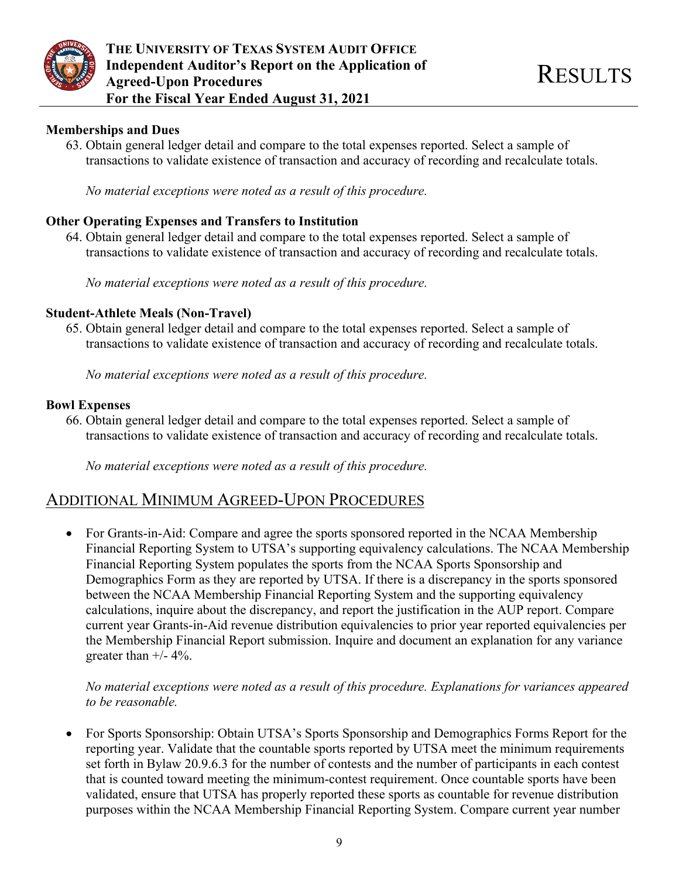

#### **Memberships and Dues**

63. Obtain general ledger detail and compare to the total expenses reported. Select a sample of transactions to validate existence of transaction and accuracy of recording and recalculate totals.

*No material exceptions were noted as a result of this procedure.*

#### **Other Operating Expenses and Transfers to Institution**

64. Obtain general ledger detail and compare to the total expenses reported. Select a sample of transactions to validate existence of transaction and accuracy of recording and recalculate totals.

*No material exceptions were noted as a result of this procedure.*

#### **Student-Athlete Meals (Non-Travel)**

65. Obtain general ledger detail and compare to the total expenses reported. Select a sample of transactions to validate existence of transaction and accuracy of recording and recalculate totals.

*No material exceptions were noted as a result of this procedure.*

#### **Bowl Expenses**

66. Obtain general ledger detail and compare to the total expenses reported. Select a sample of transactions to validate existence of transaction and accuracy of recording and recalculate totals.

*No material exceptions were noted as a result of this procedure.*

## ADDITIONAL MINIMUM AGREED-UPON PROCEDURES

• For Grants-in-Aid: Compare and agree the sports sponsored reported in the NCAA Membership Financial Reporting System to UTSA's supporting equivalency calculations. The NCAA Membership Financial Reporting System populates the sports from the NCAA Sports Sponsorship and Demographics Form as they are reported by UTSA. If there is a discrepancy in the sports sponsored between the NCAA Membership Financial Reporting System and the supporting equivalency calculations, inquire about the discrepancy, and report the justification in the AUP report. Compare current year Grants-in-Aid revenue distribution equivalencies to prior year reported equivalencies per the Membership Financial Report submission. Inquire and document an explanation for any variance greater than  $+/- 4\%$ .

#### *No material exceptions were noted as a result of this procedure. Explanations for variances appeared to be reasonable.*

• For Sports Sponsorship: Obtain UTSA's Sports Sponsorship and Demographics Forms Report for the reporting year. Validate that the countable sports reported by UTSA meet the minimum requirements set forth in Bylaw 20.9.6.3 for the number of contests and the number of participants in each contest that is counted toward meeting the minimum-contest requirement. Once countable sports have been validated, ensure that UTSA has properly reported these sports as countable for revenue distribution purposes within the NCAA Membership Financial Reporting System. Compare current year number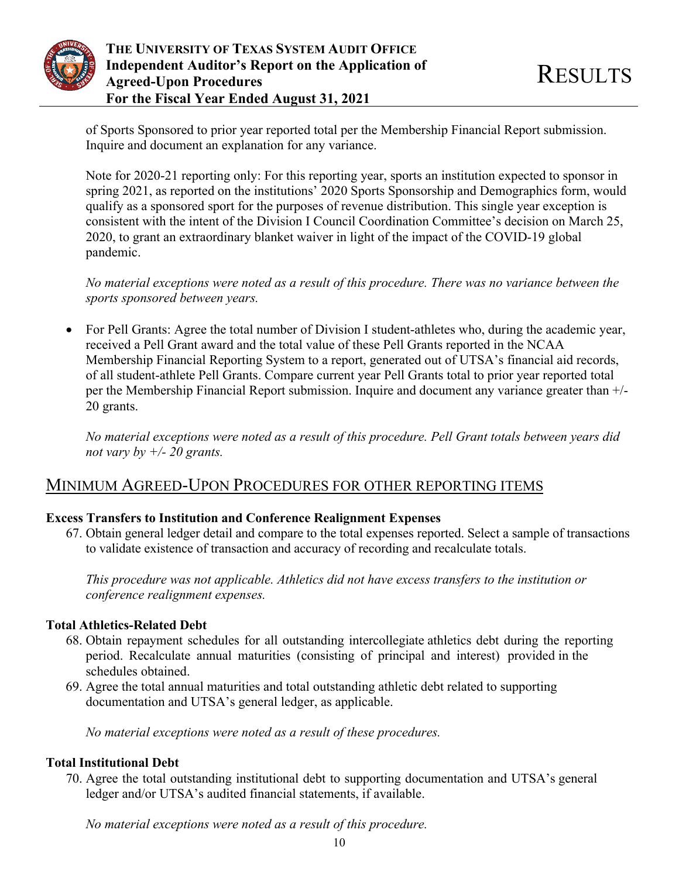

of Sports Sponsored to prior year reported total per the Membership Financial Report submission. Inquire and document an explanation for any variance.

Note for 2020-21 reporting only: For this reporting year, sports an institution expected to sponsor in spring 2021, as reported on the institutions' 2020 Sports Sponsorship and Demographics form, would qualify as a sponsored sport for the purposes of revenue distribution. This single year exception is consistent with the intent of the Division I Council Coordination Committee's decision on March 25, 2020, to grant an extraordinary blanket waiver in light of the impact of the COVID-19 global pandemic.

*No material exceptions were noted as a result of this procedure. There was no variance between the sports sponsored between years.*

• For Pell Grants: Agree the total number of Division I student-athletes who, during the academic year, received a Pell Grant award and the total value of these Pell Grants reported in the NCAA Membership Financial Reporting System to a report, generated out of UTSA's financial aid records, of all student-athlete Pell Grants. Compare current year Pell Grants total to prior year reported total per the Membership Financial Report submission. Inquire and document any variance greater than +/- 20 grants.

*No material exceptions were noted as a result of this procedure. Pell Grant totals between years did not vary by +/- 20 grants.*

## MINIMUM AGREED-UPON PROCEDURES FOR OTHER REPORTING ITEMS

## **Excess Transfers to Institution and Conference Realignment Expenses**

67. Obtain general ledger detail and compare to the total expenses reported. Select a sample of transactions to validate existence of transaction and accuracy of recording and recalculate totals.

*This procedure was not applicable. Athletics did not have excess transfers to the institution or conference realignment expenses.*

## **Total Athletics-Related Debt**

- 68. Obtain repayment schedules for all outstanding intercollegiate athletics debt during the reporting period. Recalculate annual maturities (consisting of principal and interest) provided in the schedules obtained.
- 69. Agree the total annual maturities and total outstanding athletic debt related to supporting documentation and UTSA's general ledger, as applicable.

*No material exceptions were noted as a result of these procedures.*

## **Total Institutional Debt**

70. Agree the total outstanding institutional debt to supporting documentation and UTSA's general ledger and/or UTSA's audited financial statements, if available.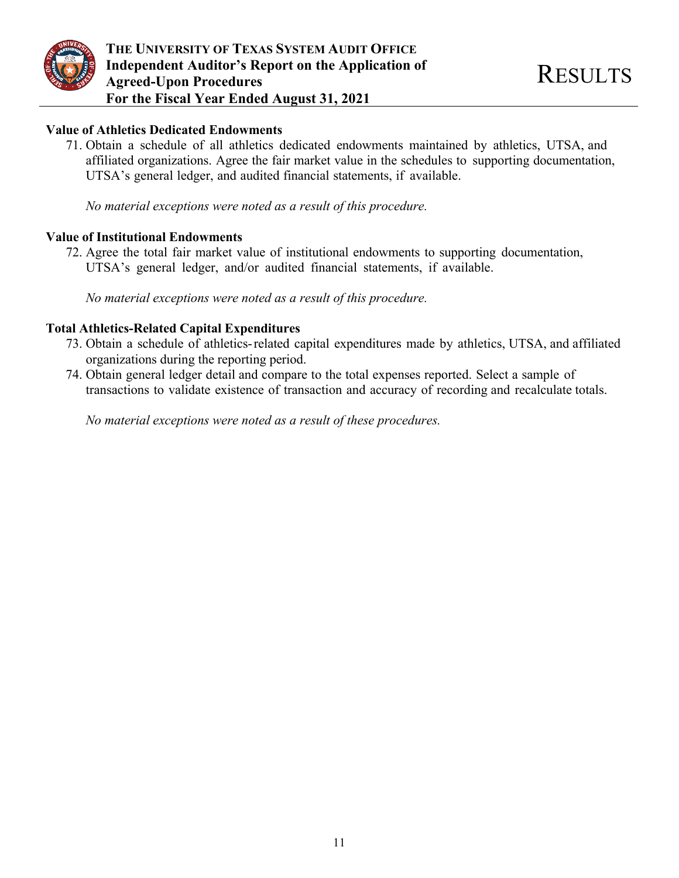

#### **Value of Athletics Dedicated Endowments**

71. Obtain a schedule of all athletics dedicated endowments maintained by athletics, UTSA, and affiliated organizations. Agree the fair market value in the schedules to supporting documentation, UTSA's general ledger, and audited financial statements, if available.

*No material exceptions were noted as a result of this procedure.* 

#### **Value of Institutional Endowments**

72. Agree the total fair market value of institutional endowments to supporting documentation, UTSA's general ledger, and/or audited financial statements, if available.

*No material exceptions were noted as a result of this procedure.*

#### **Total Athletics-Related Capital Expenditures**

- 73. Obtain a schedule of athletics-related capital expenditures made by athletics, UTSA, and affiliated organizations during the reporting period.
- 74. Obtain general ledger detail and compare to the total expenses reported. Select a sample of transactions to validate existence of transaction and accuracy of recording and recalculate totals.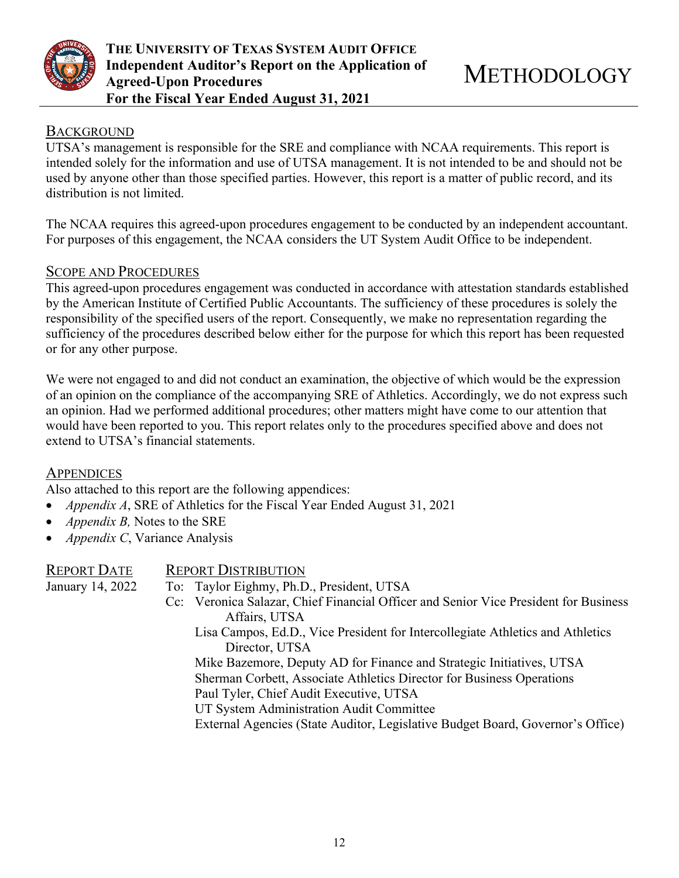

#### **BACKGROUND**

UTSA's management is responsible for the SRE and compliance with NCAA requirements. This report is intended solely for the information and use of UTSA management. It is not intended to be and should not be used by anyone other than those specified parties. However, this report is a matter of public record, and its distribution is not limited.

The NCAA requires this agreed-upon procedures engagement to be conducted by an independent accountant. For purposes of this engagement, the NCAA considers the UT System Audit Office to be independent.

#### SCOPE AND PROCEDURES

This agreed-upon procedures engagement was conducted in accordance with attestation standards established by the American Institute of Certified Public Accountants. The sufficiency of these procedures is solely the responsibility of the specified users of the report. Consequently, we make no representation regarding the sufficiency of the procedures described below either for the purpose for which this report has been requested or for any other purpose.

We were not engaged to and did not conduct an examination, the objective of which would be the expression of an opinion on the compliance of the accompanying SRE of Athletics. Accordingly, we do not express such an opinion. Had we performed additional procedures; other matters might have come to our attention that would have been reported to you. This report relates only to the procedures specified above and does not extend to UTSA's financial statements.

## **APPENDICES**

Also attached to this report are the following appendices:

- *Appendix A*, SRE of Athletics for the Fiscal Year Ended August 31, 2021
- *Appendix B,* Notes to the SRE
- *Appendix C*, Variance Analysis

| <b>REPORT DATE</b> | <b>REPORT DISTRIBUTION</b>                                                           |
|--------------------|--------------------------------------------------------------------------------------|
| January 14, 2022   | To: Taylor Eighmy, Ph.D., President, UTSA                                            |
|                    | Cc: Veronica Salazar, Chief Financial Officer and Senior Vice President for Business |
|                    | Affairs, UTSA                                                                        |
|                    | Lisa Campos, Ed.D., Vice President for Intercollegiate Athletics and Athletics       |
|                    | Director, UTSA                                                                       |
|                    | Mike Bazemore, Deputy AD for Finance and Strategic Initiatives, UTSA                 |
|                    | Sherman Corbett, Associate Athletics Director for Business Operations                |
|                    | Paul Tyler, Chief Audit Executive, UTSA                                              |
|                    | UT System Administration Audit Committee                                             |
|                    | External Agencies (State Auditor, Legislative Budget Board, Governor's Office)       |
|                    |                                                                                      |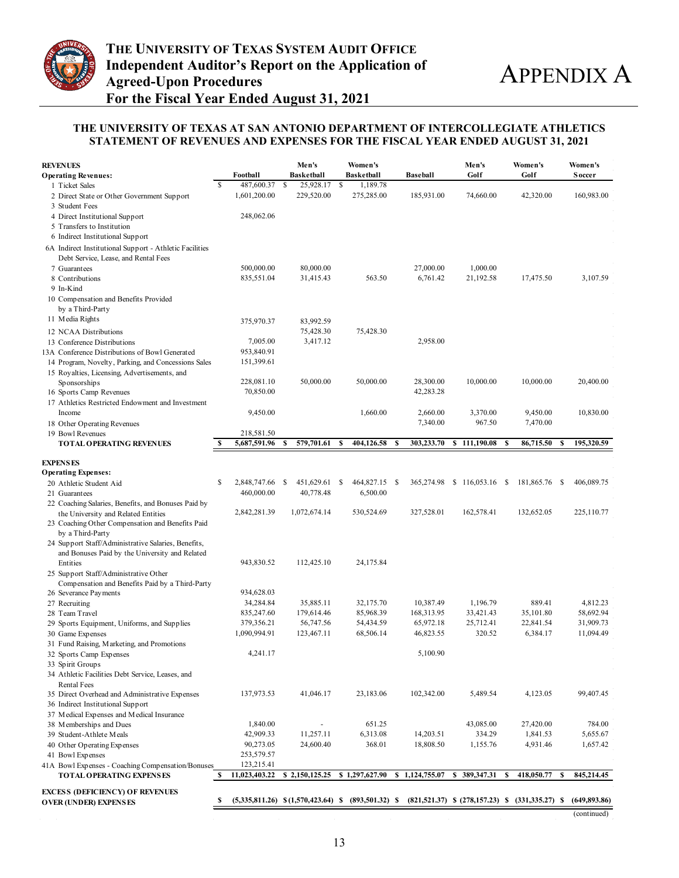

#### **THE UNIVERSITY OF TEXAS AT SAN ANTONIO DEPARTMENT OF INTERCOLLEGIATE ATHLETICS STATEMENT OF REVENUES AND EXPENSES FOR THE FISCAL YEAR ENDED AUGUST 31, 2021**

| <b>REVENUES</b>                                                                |    |                                            |      | Men's                  |    | Women's            |   |                 | Men's                       |   | Women's                                               |    | Women's       |
|--------------------------------------------------------------------------------|----|--------------------------------------------|------|------------------------|----|--------------------|---|-----------------|-----------------------------|---|-------------------------------------------------------|----|---------------|
| <b>Operating Revenues:</b>                                                     |    | Football                                   |      | <b>Basketball</b>      |    | <b>Basketball</b>  |   | <b>Baseball</b> | Golf                        |   | Golf                                                  |    | <b>Soccer</b> |
| 1 Ticket Sales                                                                 | S  | 487,600.37                                 | \$   | 25,928.17              | S  | 1,189.78           |   |                 |                             |   |                                                       |    |               |
| 2 Direct State or Other Government Support                                     |    | 1,601,200.00                               |      | 229,520.00             |    | 275,285.00         |   | 185,931.00      | 74,660.00                   |   | 42,320.00                                             |    | 160,983.00    |
| 3 Student Fees                                                                 |    |                                            |      |                        |    |                    |   |                 |                             |   |                                                       |    |               |
| 4 Direct Institutional Support                                                 |    | 248,062.06                                 |      |                        |    |                    |   |                 |                             |   |                                                       |    |               |
| 5 Transfers to Institution                                                     |    |                                            |      |                        |    |                    |   |                 |                             |   |                                                       |    |               |
| 6 Indirect Institutional Support                                               |    |                                            |      |                        |    |                    |   |                 |                             |   |                                                       |    |               |
| 6A Indirect Institutional Support - Athletic Facilities                        |    |                                            |      |                        |    |                    |   |                 |                             |   |                                                       |    |               |
| Debt Service, Lease, and Rental Fees<br>7 Guarantees                           |    | 500,000.00                                 |      | 80,000.00              |    |                    |   | 27,000.00       | 1,000.00                    |   |                                                       |    |               |
| 8 Contributions                                                                |    | 835,551.04                                 |      | 31,415.43              |    | 563.50             |   | 6,761.42        | 21,192.58                   |   | 17,475.50                                             |    | 3,107.59      |
| 9 In-Kind                                                                      |    |                                            |      |                        |    |                    |   |                 |                             |   |                                                       |    |               |
| 10 Compensation and Benefits Provided                                          |    |                                            |      |                        |    |                    |   |                 |                             |   |                                                       |    |               |
| by a Third-Party                                                               |    |                                            |      |                        |    |                    |   |                 |                             |   |                                                       |    |               |
| 11 Media Rights                                                                |    |                                            |      |                        |    |                    |   |                 |                             |   |                                                       |    |               |
|                                                                                |    | 375,970.37                                 |      | 83,992.59<br>75,428.30 |    | 75,428.30          |   |                 |                             |   |                                                       |    |               |
| 12 NCAA Distributions<br>13 Conference Distributions                           |    | 7,005.00                                   |      | 3,417.12               |    |                    |   | 2,958.00        |                             |   |                                                       |    |               |
| 13A Conference Distributions of Bowl Generated                                 |    | 953,840.91                                 |      |                        |    |                    |   |                 |                             |   |                                                       |    |               |
| 14 Program, Novelty, Parking, and Concessions Sales                            |    | 151,399.61                                 |      |                        |    |                    |   |                 |                             |   |                                                       |    |               |
| 15 Royalties, Licensing, Advertisements, and                                   |    |                                            |      |                        |    |                    |   |                 |                             |   |                                                       |    |               |
| Sponsorships                                                                   |    | 228,081.10                                 |      | 50,000.00              |    | 50,000.00          |   | 28,300.00       | 10,000.00                   |   | 10,000.00                                             |    | 20,400.00     |
| 16 Sports Camp Revenues                                                        |    | 70,850.00                                  |      |                        |    |                    |   | 42,283.28       |                             |   |                                                       |    |               |
| 17 Athletics Restricted Endowment and Investment                               |    |                                            |      |                        |    |                    |   |                 |                             |   |                                                       |    |               |
| Income                                                                         |    | 9,450.00                                   |      |                        |    | 1,660.00           |   | 2,660.00        | 3,370.00                    |   | 9,450.00                                              |    | 10,830.00     |
| 18 Other Operating Revenues                                                    |    |                                            |      |                        |    |                    |   | 7,340.00        | 967.50                      |   | 7,470.00                                              |    |               |
| 19 Bowl Revenues                                                               |    | 218,581.50                                 |      |                        |    |                    |   |                 |                             |   |                                                       |    |               |
| <b>TOTAL OPERATING REVENUES</b>                                                | S  | 5,687,591.96                               | s    | 579,701.61             | \$ | 404,126.58         | s | 303,233.70      | \$111,190.08                | S | 86,715.50                                             | \$ | 195,320.59    |
|                                                                                |    |                                            |      |                        |    |                    |   |                 |                             |   |                                                       |    |               |
| <b>EXPENSES</b><br><b>Operating Expenses:</b>                                  |    |                                            |      |                        |    |                    |   |                 |                             |   |                                                       |    |               |
| 20 Athletic Student Aid                                                        | \$ | 2,848,747.66                               | - \$ | 451,629.61 \$          |    | 464,827.15 \$      |   |                 | 365,274.98 \$ 116,053.16 \$ |   | 181,865.76 \$                                         |    | 406,089.75    |
| 21 Guarantees                                                                  |    | 460,000.00                                 |      | 40,778.48              |    | 6,500.00           |   |                 |                             |   |                                                       |    |               |
| 22 Coaching Salaries, Benefits, and Bonuses Paid by                            |    |                                            |      |                        |    |                    |   |                 |                             |   |                                                       |    |               |
| the University and Related Entities                                            |    | 2,842,281.39                               |      | 1,072,674.14           |    | 530,524.69         |   | 327,528.01      | 162,578.41                  |   | 132,652.05                                            |    | 225,110.77    |
| 23 Coaching Other Compensation and Benefits Paid                               |    |                                            |      |                        |    |                    |   |                 |                             |   |                                                       |    |               |
| by a Third-Party                                                               |    |                                            |      |                        |    |                    |   |                 |                             |   |                                                       |    |               |
| 24 Support Staff/Administrative Salaries, Benefits,                            |    |                                            |      |                        |    |                    |   |                 |                             |   |                                                       |    |               |
| and Bonuses Paid by the University and Related                                 |    |                                            |      |                        |    |                    |   |                 |                             |   |                                                       |    |               |
| Entities                                                                       |    | 943,830.52                                 |      | 112,425.10             |    | 24,175.84          |   |                 |                             |   |                                                       |    |               |
| 25 Support Staff/Administrative Other                                          |    |                                            |      |                        |    |                    |   |                 |                             |   |                                                       |    |               |
| Compensation and Benefits Paid by a Third-Party                                |    |                                            |      |                        |    |                    |   |                 |                             |   |                                                       |    |               |
| 26 Severance Payments                                                          |    | 934,628.03                                 |      |                        |    |                    |   |                 |                             |   |                                                       |    |               |
| 27 Recruiting                                                                  |    | 34,284.84                                  |      | 35,885.11              |    | 32,175.70          |   | 10,387.49       | 1,196.79                    |   | 889.41                                                |    | 4,812.23      |
| 28 Team Travel                                                                 |    | 835,247.60                                 |      | 179,614.46             |    | 85,968.39          |   | 168,313.95      | 33,421.43                   |   | 35,101.80                                             |    | 58,692.94     |
| 29 Sports Equipment, Uniforms, and Supplies                                    |    | 379,356.21                                 |      | 56,747.56              |    | 54,434.59          |   | 65,972.18       | 25,712.41                   |   | 22,841.54                                             |    | 31,909.73     |
| 30 Game Expenses                                                               |    | 1,090,994.91                               |      | 123,467.11             |    | 68,506.14          |   | 46,823.55       | 320.52                      |   | 6,384.17                                              |    | 11,094.49     |
| 31 Fund Raising, Marketing, and Promotions                                     |    |                                            |      |                        |    |                    |   |                 |                             |   |                                                       |    |               |
| 32 Sports Camp Expenses                                                        |    | 4,241.17                                   |      |                        |    |                    |   | 5,100.90        |                             |   |                                                       |    |               |
| 33 Spirit Groups                                                               |    |                                            |      |                        |    |                    |   |                 |                             |   |                                                       |    |               |
| 34 Athletic Facilities Debt Service, Leases, and                               |    |                                            |      |                        |    |                    |   |                 |                             |   |                                                       |    |               |
| <b>Rental Fees</b>                                                             |    |                                            |      | 41,046.17              |    | 23,183.06          |   | 102,342.00      | 5,489.54                    |   |                                                       |    | 99,407.45     |
| 35 Direct Overhead and Administrative Expenses                                 |    | 137,973.53                                 |      |                        |    |                    |   |                 |                             |   | 4,123.05                                              |    |               |
| 36 Indirect Institutional Support<br>37 Medical Expenses and Medical Insurance |    |                                            |      |                        |    |                    |   |                 |                             |   |                                                       |    |               |
| 38 M emberships and Dues                                                       |    | 1,840.00                                   |      |                        |    | 651.25             |   |                 | 43,085.00                   |   | 27,420.00                                             |    | 784.00        |
| 39 Student-Athlete Meals                                                       |    | 42,909.33                                  |      | 11,257.11              |    | 6,313.08           |   | 14,203.51       | 334.29                      |   | 1,841.53                                              |    | 5,655.67      |
| 40 Other Operating Expenses                                                    |    | 90,273.05                                  |      | 24,600.40              |    | 368.01             |   | 18,808.50       | 1,155.76                    |   | 4,931.46                                              |    | 1,657.42      |
| 41 Bowl Expenses                                                               |    | 253,579.57                                 |      |                        |    |                    |   |                 |                             |   |                                                       |    |               |
| 41A Bowl Expenses - Coaching Compensation/Bonuses                              |    | 123,215.41                                 |      |                        |    |                    |   |                 |                             |   |                                                       |    |               |
| <b>TOTAL OPERATING EXPENSES</b>                                                | S  | 11,023,403.22                              |      | \$2,150,125.25         |    | \$1,297,627.90     |   | \$1,124,755.07  | \$389,347.31                | S | 418,050.77                                            | -S | 845,214.45    |
|                                                                                |    |                                            |      |                        |    |                    |   |                 |                             |   |                                                       |    |               |
| EXCESS (DEFICIENCY) OF REVENUES<br>OVER (UNDER) EXPENSES                       | S  | $(5,335,811.26)$ $\quad (1,570,423.64)$ \$ |      |                        |    | $(893, 501.32)$ \$ |   |                 |                             |   | $(821,521.37)$ \$ $(278,157.23)$ \$ $(331,335.27)$ \$ |    | (649, 893.86) |
|                                                                                |    |                                            |      |                        |    |                    |   |                 |                             |   |                                                       |    |               |
|                                                                                |    |                                            |      |                        |    |                    |   |                 |                             |   |                                                       |    | (continued)   |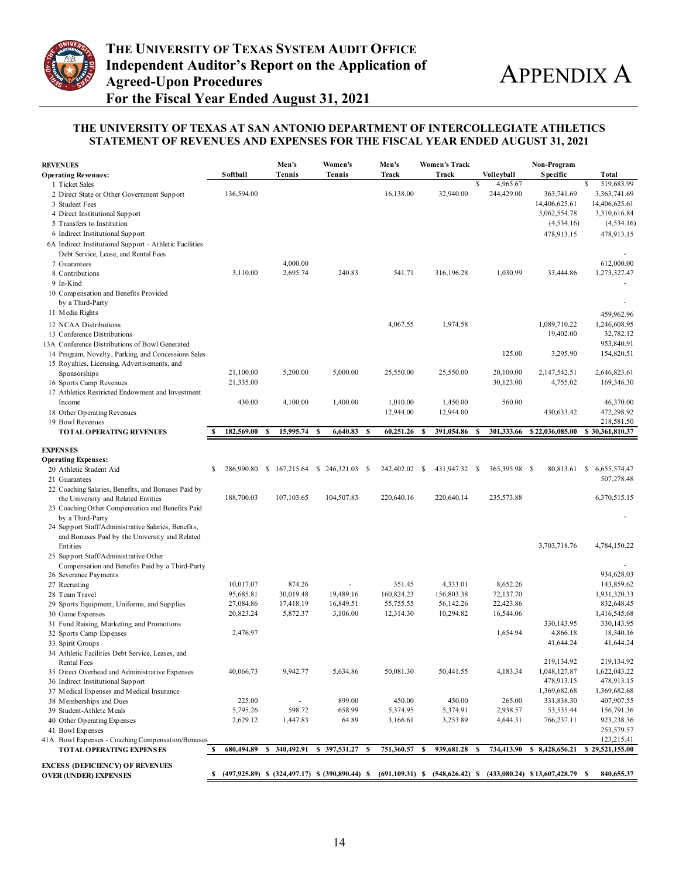

#### **THE UNIVERSITY OF TEXAS AT SAN ANTONIO DEPARTMENT OF INTERCOLLEGIATE ATHLETICS STATEMENT OF REVENUES AND EXPENSES FOR THE FISCAL YEAR ENDED AUGUST 31, 2021**

| <b>REVENUES</b>                                                                                     |                      | Men's                                                 | Women's          | Men's                | <b>Women's Track</b>                                                  |                               | Non-Program             |                          |
|-----------------------------------------------------------------------------------------------------|----------------------|-------------------------------------------------------|------------------|----------------------|-----------------------------------------------------------------------|-------------------------------|-------------------------|--------------------------|
| <b>Operating Revenues:</b>                                                                          | <b>S</b> of thall    | <b>Tennis</b>                                         | Tennis           | Track                | Track                                                                 | Volleyball                    | <b>Specific</b>         | Total                    |
| 1 Ticket Sales                                                                                      |                      |                                                       |                  |                      |                                                                       | 4,965.67<br>\$                |                         | 519,683.99<br>\$         |
| 2 Direct State or Other Government Support                                                          | 136,594.00           |                                                       |                  | 16,138.00            | 32,940.00                                                             | 244,429.00                    | 363,741.69              | 3,363,741.69             |
| 3 Student Fees                                                                                      |                      |                                                       |                  |                      |                                                                       |                               | 14,406,625.61           | 14,406,625.61            |
| 4 Direct Institutional Support                                                                      |                      |                                                       |                  |                      |                                                                       |                               | 3,062,554.78            | 3,310,616.84             |
| 5 Transfers to Institution                                                                          |                      |                                                       |                  |                      |                                                                       |                               | (4, 534.16)             | (4, 534.16)              |
| 6 Indirect Institutional Support                                                                    |                      |                                                       |                  |                      |                                                                       |                               | 478,913.15              | 478,913.15               |
| 6A Indirect Institutional Support - Athletic Facilities                                             |                      |                                                       |                  |                      |                                                                       |                               |                         |                          |
| Debt Service, Lease, and Rental Fees                                                                |                      |                                                       |                  |                      |                                                                       |                               |                         |                          |
| 7 Guarantees                                                                                        |                      | 4,000.00                                              |                  |                      |                                                                       |                               |                         | 612,000.00               |
| 8 Contributions                                                                                     | 3,110.00             | 2,695.74                                              | 240.83           | 541.71               | 316,196.28                                                            | 1,030.99                      | 33,444.86               | 1,273,327.47             |
| 9 In-Kind                                                                                           |                      |                                                       |                  |                      |                                                                       |                               |                         |                          |
| 10 Compensation and Benefits Provided                                                               |                      |                                                       |                  |                      |                                                                       |                               |                         |                          |
| by a Third-Party<br>11 Media Rights                                                                 |                      |                                                       |                  |                      |                                                                       |                               |                         |                          |
|                                                                                                     |                      |                                                       |                  |                      |                                                                       |                               |                         | 459,962.96               |
| 12 NCAA Distributions                                                                               |                      |                                                       |                  | 4,067.55             | 1,974.58                                                              |                               | 1,089,710.22            | 1,246,608.95             |
| 13 Conference Distributions                                                                         |                      |                                                       |                  |                      |                                                                       |                               | 19,402.00               | 32,782.12<br>953,840.91  |
| 13A Conference Distributions of Bowl Generated                                                      |                      |                                                       |                  |                      |                                                                       | 125.00                        | 3,295.90                | 154,820.51               |
| 14 Program, Novelty, Parking, and Concessions Sales<br>15 Royalties, Licensing, Advertisements, and |                      |                                                       |                  |                      |                                                                       |                               |                         |                          |
| Sponsorships                                                                                        | 21,100.00            | 5,200.00                                              | 5,000.00         | 25,550.00            | 25,550.00                                                             | 20,100.00                     | 2,147,542.51            | 2,646,823.61             |
| 16 Sports Camp Revenues                                                                             | 21,335.00            |                                                       |                  |                      |                                                                       | 30,123.00                     | 4,755.02                | 169,346.30               |
| 17 Athletics Restricted Endowment and Investment                                                    |                      |                                                       |                  |                      |                                                                       |                               |                         |                          |
| Income                                                                                              | 430.00               | 4,100.00                                              | 1,400.00         | 1,010.00             | 1,450.00                                                              | 560.00                        |                         | 46,370.00                |
| 18 Other Operating Revenues                                                                         |                      |                                                       |                  | 12,944.00            | 12,944.00                                                             |                               | 430,633.42              | 472,298.92               |
| 19 Bowl Revenues                                                                                    |                      |                                                       |                  |                      |                                                                       |                               |                         | 218,581.50               |
| <b>TOTAL OPERATING REVENUES</b>                                                                     | 182,569.00<br>S      | 15,995.74<br>S                                        | 6,640.83<br>- \$ | 60,251.26<br>S       | 391,054.86<br>S                                                       | 301,333.66<br>-S              | \$22,036,085.00         | \$30,361,810.37          |
|                                                                                                     |                      |                                                       |                  |                      |                                                                       |                               |                         |                          |
| <b>EXPENSES</b>                                                                                     |                      |                                                       |                  |                      |                                                                       |                               |                         |                          |
| <b>Operating Expenses:</b>                                                                          |                      |                                                       |                  |                      |                                                                       |                               |                         |                          |
| 20 Athletic Student Aid                                                                             | \$                   | 286,990.80 \$ 167,215.64 \$ 246,321.03 \$             |                  | 242,402.02 \$        | 431,947.32                                                            | $\mathbf{s}$<br>365,395.98 \$ | 80,813.61               | 6,655,574.47<br>S.       |
| 21 Guarantees                                                                                       |                      |                                                       |                  |                      |                                                                       |                               |                         | 507,278.48               |
| 22 Coaching Salaries, Benefits, and Bonuses Paid by                                                 |                      |                                                       |                  |                      |                                                                       |                               |                         |                          |
| the University and Related Entities                                                                 | 188,700.03           | 107,103.65                                            | 104,507.83       | 220,640.16           | 220,640.14                                                            | 235,573.88                    |                         | 6,370,515.15             |
| 23 Coaching Other Compensation and Benefits Paid                                                    |                      |                                                       |                  |                      |                                                                       |                               |                         |                          |
| by a Third-Party<br>24 Support Staff/Administrative Salaries, Benefits,                             |                      |                                                       |                  |                      |                                                                       |                               |                         |                          |
| and Bonuses Paid by the University and Related                                                      |                      |                                                       |                  |                      |                                                                       |                               |                         |                          |
| Entities                                                                                            |                      |                                                       |                  |                      |                                                                       |                               | 3,703,718.76            | 4,784,150.22             |
| 25 Support Staff/Administrative Other                                                               |                      |                                                       |                  |                      |                                                                       |                               |                         |                          |
| Compensation and Benefits Paid by a Third-Party                                                     |                      |                                                       |                  |                      |                                                                       |                               |                         |                          |
| 26 Severance Payments                                                                               |                      |                                                       |                  |                      |                                                                       |                               |                         | 934,628.03               |
| 27 Recruiting                                                                                       | 10,017.07            | 874.26                                                |                  | 351.45               | 4,333.01                                                              | 8,652.26                      |                         | 143,859.62               |
| 28 Team Travel                                                                                      | 95,685.81            | 30,019.48                                             | 19,489.16        | 160,824.23           | 156,803.38                                                            | 72,137.70                     |                         | 1,931,320.33             |
| 29 Sports Equipment, Uniforms, and Supplies                                                         | 27,084.86            | 17,418.19                                             | 16,849.51        | 55,755.55            | 56,142.26                                                             | 22,423.86                     |                         | 832,648.45               |
| 30 Game Expenses                                                                                    | 20,823.24            | 5,872.37                                              | 3,106.00         | 12,314.30            | 10,294.82                                                             | 16,544.06                     |                         | 1,416,545.68             |
| 31 Fund Raising, Marketing, and Promotions                                                          |                      |                                                       |                  |                      |                                                                       |                               | 330, 143. 95            | 330,143.95               |
| 32 Sports Camp Expenses                                                                             | 2,476.97             |                                                       |                  |                      |                                                                       | 1.654.94                      | 4,866.18                | 18,340.16                |
| 33 Spirit Groups                                                                                    |                      |                                                       |                  |                      |                                                                       |                               | 41,644.24               | 41,644.24                |
| 34 Athletic Facilities Debt Service, Leases, and                                                    |                      |                                                       |                  |                      |                                                                       |                               |                         |                          |
| Rental Fees                                                                                         |                      |                                                       |                  |                      |                                                                       |                               | 219,134.92              | 219,134.92               |
| 35 Direct Overhead and Administrative Expenses                                                      | 40,066.73            | 9,942.77                                              | 5,634.86         | 50,081.30            | 50,441.55                                                             | 4,183.34                      | 1,048,127.87            | 1,622,043.22             |
| 36 Indirect Institutional Support                                                                   |                      |                                                       |                  |                      |                                                                       |                               | 478,913.15              | 478,913.15               |
| 37 Medical Expenses and Medical Insurance                                                           | 225.00               |                                                       | 899.00           | 450.00               |                                                                       |                               | 1,369,682.68            | 1,369,682.68             |
| 38 Memberships and Dues                                                                             |                      |                                                       |                  |                      | 450.00                                                                | 265.00                        | 331,838.30              | 407,907.55               |
| 39 Student-Athlete Meals<br>40 Other Operating Expenses                                             | 5,795.26<br>2,629.12 | 598.72<br>1,447.83                                    | 658.99<br>64.89  | 5,374.95<br>3,166.61 | 5,374.91<br>3,253.89                                                  | 2,938.57<br>4,644.31          | 53,535.44<br>766,237.11 | 156,791.36<br>923,238.36 |
| 41 Bowl Expenses                                                                                    |                      |                                                       |                  |                      |                                                                       |                               |                         | 253,579.57               |
| 41A Bowl Expenses - Coaching Compensation/Bonuses                                                   |                      |                                                       |                  |                      |                                                                       |                               |                         | 123,215.41               |
| <b>TOTAL OPERATING EXPENSES</b>                                                                     | 680,494.89<br>S      | 340,492.91<br>S                                       | \$397,531.27     | 751,360.57<br>- \$   | 939,681.28<br>S                                                       | 734,413.90<br>S               | \$8,428,656.21          | \$29,521,155.00          |
|                                                                                                     |                      |                                                       |                  |                      |                                                                       |                               |                         |                          |
| <b>EXCESS (DEFICIENCY) OF REVENUES</b>                                                              |                      |                                                       |                  |                      |                                                                       |                               |                         |                          |
| <b>OVER (UNDER) EXPENSES</b>                                                                        | S                    | $(497,925.89)$ \$ $(324,497.17)$ \$ $(390,890.44)$ \$ |                  |                      | $(691, 109.31)$ \$ $(548, 626.42)$ \$ $(433, 080.24)$ \$13,607,428.79 |                               |                         | 840,655.37<br>S          |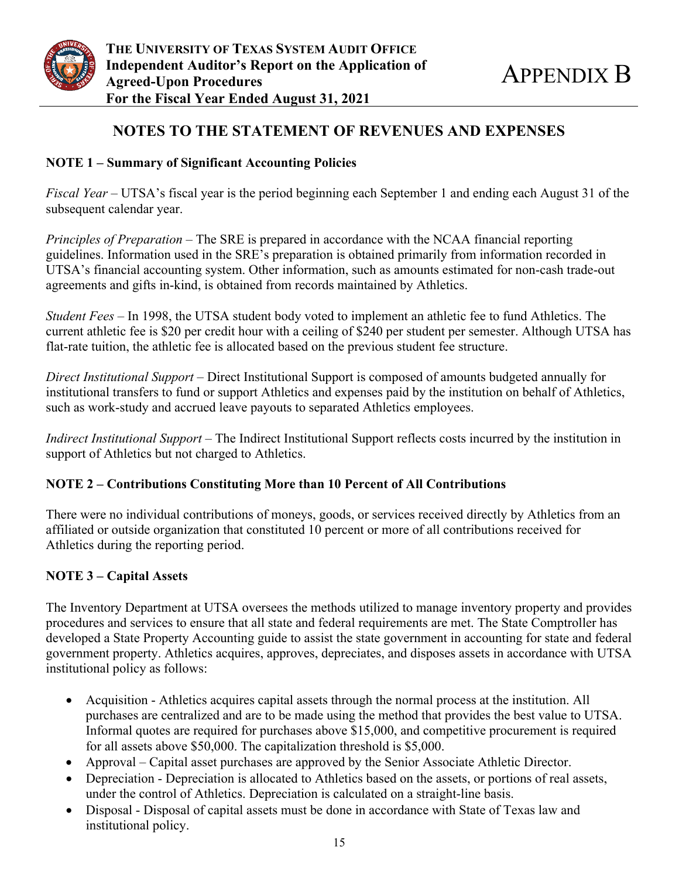

## **NOTES TO THE STATEMENT OF REVENUES AND EXPENSES**

## **NOTE 1 – Summary of Significant Accounting Policies**

*Fiscal Year* – UTSA's fiscal year is the period beginning each September 1 and ending each August 31 of the subsequent calendar year.

*Principles of Preparation* – The SRE is prepared in accordance with the NCAA financial reporting guidelines. Information used in the SRE's preparation is obtained primarily from information recorded in UTSA's financial accounting system. Other information, such as amounts estimated for non-cash trade-out agreements and gifts in-kind, is obtained from records maintained by Athletics.

*Student Fees –* In 1998, the UTSA student body voted to implement an athletic fee to fund Athletics. The current athletic fee is \$20 per credit hour with a ceiling of \$240 per student per semester. Although UTSA has flat-rate tuition, the athletic fee is allocated based on the previous student fee structure.

*Direct Institutional Support* – Direct Institutional Support is composed of amounts budgeted annually for institutional transfers to fund or support Athletics and expenses paid by the institution on behalf of Athletics, such as work-study and accrued leave payouts to separated Athletics employees.

*Indirect Institutional Support* – The Indirect Institutional Support reflects costs incurred by the institution in support of Athletics but not charged to Athletics.

## **NOTE 2 – Contributions Constituting More than 10 Percent of All Contributions**

There were no individual contributions of moneys, goods, or services received directly by Athletics from an affiliated or outside organization that constituted 10 percent or more of all contributions received for Athletics during the reporting period.

## **NOTE 3 – Capital Assets**

The Inventory Department at UTSA oversees the methods utilized to manage inventory property and provides procedures and services to ensure that all state and federal requirements are met. The State Comptroller has developed a State Property Accounting guide to assist the state government in accounting for state and federal government property. Athletics acquires, approves, depreciates, and disposes assets in accordance with UTSA institutional policy as follows:

- Acquisition Athletics acquires capital assets through the normal process at the institution. All purchases are centralized and are to be made using the method that provides the best value to UTSA. Informal quotes are required for purchases above \$15,000, and competitive procurement is required for all assets above \$50,000. The capitalization threshold is \$5,000.
- Approval Capital asset purchases are approved by the Senior Associate Athletic Director.
- Depreciation Depreciation is allocated to Athletics based on the assets, or portions of real assets, under the control of Athletics. Depreciation is calculated on a straight-line basis.
- Disposal Disposal of capital assets must be done in accordance with State of Texas law and institutional policy.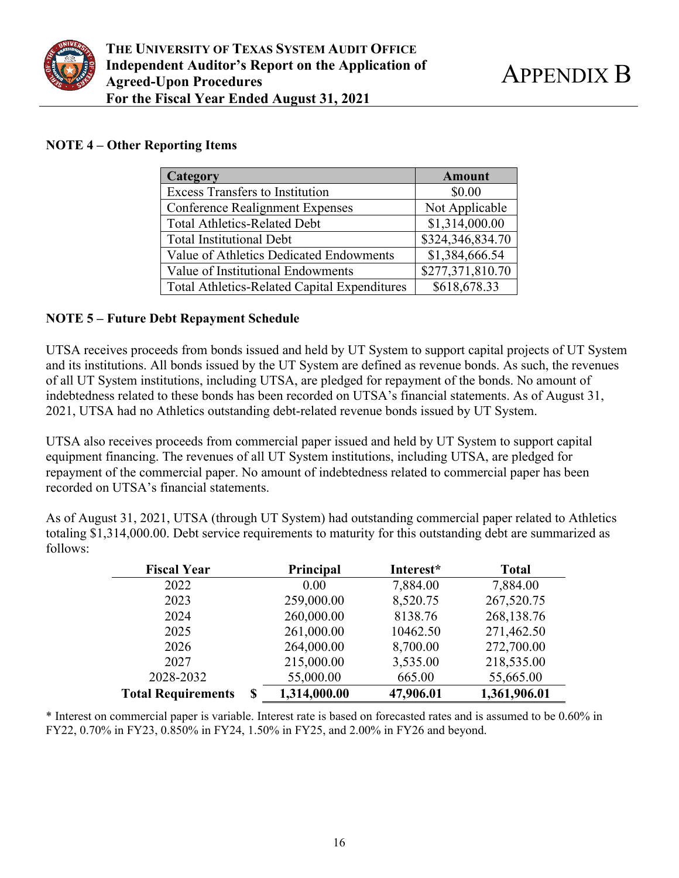

## **NOTE 4 – Other Reporting Items**

| Category                                            | <b>Amount</b>    |
|-----------------------------------------------------|------------------|
| <b>Excess Transfers to Institution</b>              | \$0.00           |
| <b>Conference Realignment Expenses</b>              | Not Applicable   |
| <b>Total Athletics-Related Debt</b>                 | \$1,314,000.00   |
| <b>Total Institutional Debt</b>                     | \$324,346,834.70 |
| Value of Athletics Dedicated Endowments             | \$1,384,666.54   |
| Value of Institutional Endowments                   | \$277,371,810.70 |
| <b>Total Athletics-Related Capital Expenditures</b> | \$618,678.33     |

## **NOTE 5 – Future Debt Repayment Schedule**

UTSA receives proceeds from bonds issued and held by UT System to support capital projects of UT System and its institutions. All bonds issued by the UT System are defined as revenue bonds. As such, the revenues of all UT System institutions, including UTSA, are pledged for repayment of the bonds. No amount of indebtedness related to these bonds has been recorded on UTSA's financial statements. As of August 31, 2021, UTSA had no Athletics outstanding debt-related revenue bonds issued by UT System.

UTSA also receives proceeds from commercial paper issued and held by UT System to support capital equipment financing. The revenues of all UT System institutions, including UTSA, are pledged for repayment of the commercial paper. No amount of indebtedness related to commercial paper has been recorded on UTSA's financial statements.

As of August 31, 2021, UTSA (through UT System) had outstanding commercial paper related to Athletics totaling \$1,314,000.00. Debt service requirements to maturity for this outstanding debt are summarized as follows:

| <b>Fiscal Year</b>              | Principal    | Interest* | <b>Total</b> |
|---------------------------------|--------------|-----------|--------------|
| 2022                            | 0.00         | 7,884.00  | 7,884.00     |
| 2023                            | 259,000.00   | 8,520.75  | 267,520.75   |
| 2024                            | 260,000.00   | 8138.76   | 268,138.76   |
| 2025                            | 261,000.00   | 10462.50  | 271,462.50   |
| 2026                            | 264,000.00   | 8,700.00  | 272,700.00   |
| 2027                            | 215,000.00   | 3,535.00  | 218,535.00   |
| 2028-2032                       | 55,000.00    | 665.00    | 55,665.00    |
| <b>Total Requirements</b><br>\$ | 1,314,000.00 | 47,906.01 | 1,361,906.01 |

\* Interest on commercial paper is variable. Interest rate is based on forecasted rates and is assumed to be 0.60% in FY22, 0.70% in FY23, 0.850% in FY24, 1.50% in FY25, and 2.00% in FY26 and beyond.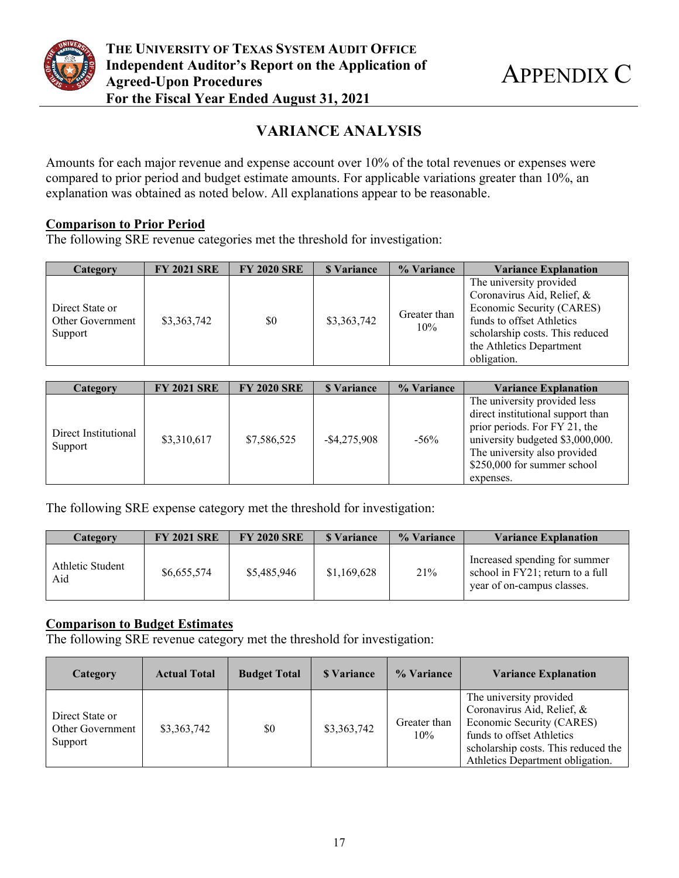

# **VARIANCE ANALYSIS**

Amounts for each major revenue and expense account over 10% of the total revenues or expenses were compared to prior period and budget estimate amounts. For applicable variations greater than 10%, an explanation was obtained as noted below. All explanations appear to be reasonable.

## **Comparison to Prior Period**

The following SRE revenue categories met the threshold for investigation:

| Category                                       | <b>FY 2021 SRE</b> | <b>FY 2020 SRE</b> | <b>S</b> Variance | % Variance          | <b>Variance Explanation</b>                                                                                                                                                                   |
|------------------------------------------------|--------------------|--------------------|-------------------|---------------------|-----------------------------------------------------------------------------------------------------------------------------------------------------------------------------------------------|
| Direct State or<br>Other Government<br>Support | \$3,363,742        | \$0                | \$3,363,742       | Greater than<br>10% | The university provided<br>Coronavirus Aid, Relief, &<br>Economic Security (CARES)<br>funds to offset Athletics<br>scholarship costs. This reduced<br>the Athletics Department<br>obligation. |

| Category                        | <b>FY 2021 SRE</b> | <b>FY 2020 SRE</b> | <b>S</b> Variance | % Variance | <b>Variance Explanation</b>                                                                                                                                                                                        |
|---------------------------------|--------------------|--------------------|-------------------|------------|--------------------------------------------------------------------------------------------------------------------------------------------------------------------------------------------------------------------|
| Direct Institutional<br>Support | \$3,310,617        | \$7,586,525        | $-$ \$4,275,908   | $-56\%$    | The university provided less<br>direct institutional support than<br>prior periods. For FY 21, the<br>university budgeted \$3,000,000.<br>The university also provided<br>\$250,000 for summer school<br>expenses. |

The following SRE expense category met the threshold for investigation:

| Category                | <b>FY 2021 SRE</b> | <b>FY 2020 SRE</b> | <b>S</b> Variance | % Variance | <b>Variance Explanation</b>                                                                     |
|-------------------------|--------------------|--------------------|-------------------|------------|-------------------------------------------------------------------------------------------------|
| Athletic Student<br>Aid | \$6,655,574        | \$5,485,946        | \$1,169,628       | 21%        | Increased spending for summer<br>school in FY21; return to a full<br>year of on-campus classes. |

## **Comparison to Budget Estimates**

The following SRE revenue category met the threshold for investigation:

| Category                                       | <b>Actual Total</b> | <b>Budget Total</b> | <b>S</b> Variance | % Variance          | <b>Variance Explanation</b>                                                                                                                                                                |
|------------------------------------------------|---------------------|---------------------|-------------------|---------------------|--------------------------------------------------------------------------------------------------------------------------------------------------------------------------------------------|
| Direct State or<br>Other Government<br>Support | \$3,363,742         | \$0                 | \$3,363,742       | Greater than<br>10% | The university provided<br>Coronavirus Aid, Relief, &<br>Economic Security (CARES)<br>funds to offset Athletics<br>scholarship costs. This reduced the<br>Athletics Department obligation. |